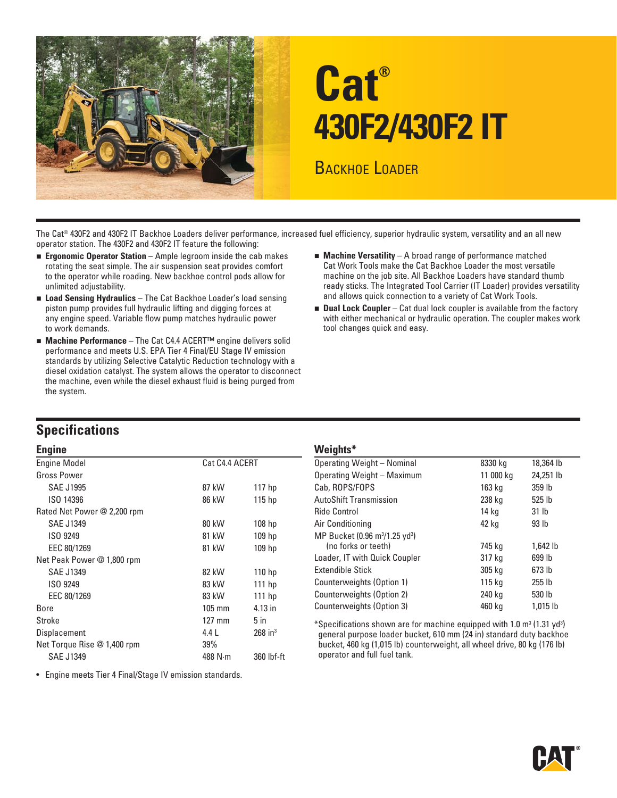

# **Cat® 430F2/430F2 IT**

BACKHOE LOADER

The Cat® 430F2 and 430F2 IT Backhoe Loaders deliver performance, increased fuel efficiency, superior hydraulic system, versatility and an all new operator station. The 430F2 and 430F2 IT feature the following:

- **Exponomic Operator Station** Ample legroom inside the cab makes rotating the seat simple. The air suspension seat provides comfort to the operator while roading. New backhoe control pods allow for unlimited adjustability.
- **Load Sensing Hydraulics** The Cat Backhoe Loader's load sensing piston pump provides full hydraulic lifting and digging forces at any engine speed. Variable flow pump matches hydraulic power to work demands.
- **Machine Performance** The Cat C4.4 ACERT<sup>™</sup> engine delivers solid performance and meets U.S. EPA Tier 4 Final/EU Stage IV emission standards by utilizing Selective Catalytic Reduction technology with a diesel oxidation catalyst. The system allows the operator to disconnect the machine, even while the diesel exhaust fluid is being purged from the system.
- **Machine Versatility** A broad range of performance matched Cat Work Tools make the Cat Backhoe Loader the most versatile machine on the job site. All Backhoe Loaders have standard thumb ready sticks. The Integrated Tool Carrier (IT Loader) provides versatility and allows quick connection to a variety of Cat Work Tools.
- **Dual Lock Coupler** Cat dual lock coupler is available from the factory with either mechanical or hydraulic operation. The coupler makes work tool changes quick and easy.

### **Specifications**

| <b>Engine</b>               |                |                       | Weights*                                                                                       |           |            |
|-----------------------------|----------------|-----------------------|------------------------------------------------------------------------------------------------|-----------|------------|
| <b>Engine Model</b>         | Cat C4.4 ACERT |                       | <b>Operating Weight - Nominal</b>                                                              | 8330 kg   | 18,364 lb  |
| <b>Gross Power</b>          |                |                       | Operating Weight - Maximum                                                                     | 11 000 kg | 24,251 lb  |
| <b>SAE J1995</b>            | 87 kW          | 117 <sub>hp</sub>     | Cab, ROPS/FOPS                                                                                 | 163 kg    | 359 lb     |
| ISO 14396                   | 86 kW          | 115 <sub>hp</sub>     | <b>AutoShift Transmission</b>                                                                  | 238 kg    | 525 lb     |
| Rated Net Power @ 2,200 rpm |                |                       | <b>Ride Control</b>                                                                            | 14 kg     | 31 lb      |
| <b>SAE J1349</b>            | 80 kW          | 108 <sub>hp</sub>     | Air Conditioning                                                                               | 42 kg     | 93 lb      |
| ISO 9249                    | 81 kW          | $109$ hp              | MP Bucket (0.96 m <sup>3</sup> /1.25 yd <sup>3</sup> )                                         |           |            |
| EEC 80/1269                 | 81 kW          | 109 <sub>hp</sub>     | (no forks or teeth)                                                                            | 745 kg    | 1,642 lb   |
| Net Peak Power @ 1,800 rpm  |                |                       | Loader, IT with Quick Coupler                                                                  | 317 kg    | 699 lb     |
| <b>SAE J1349</b>            | 82 kW          | 110 <sub>hp</sub>     | Extendible Stick                                                                               | 305 kg    | 673 lb     |
| ISO 9249                    | 83 kW          | $111$ hp              | Counterweights (Option 1)                                                                      | 115 kg    | 255 lb     |
| EEC 80/1269                 | 83 kW          | $111$ hp              | Counterweights (Option 2)                                                                      | 240 kg    | 530 lb     |
| Bore                        | $105$ mm       | $4.13$ in             | Counterweights (Option 3)                                                                      | 460 kg    | $1,015$ lb |
| Stroke                      | $127$ mm       | 5 <sub>in</sub>       | *Specifications shown are for machine equipped with 1.0 m <sup>3</sup> (1.31 yd <sup>3</sup> ) |           |            |
| Displacement                | 4.4 L          | $268$ in <sup>3</sup> | general purpose loader bucket, 610 mm (24 in) standard duty backho                             |           |            |
| Net Torque Rise @ 1,400 rpm | 39%            |                       | bucket, 460 kg (1,015 lb) counterweight, all wheel drive, 80 kg (176 lb)                       |           |            |
| <b>SAE J1349</b>            | 488 $N·m$      | 360 lbf-ft            | operator and full fuel tank.                                                                   |           |            |

| g                        |                |                   | . <b>.</b>                                             |           |                     |  |
|--------------------------|----------------|-------------------|--------------------------------------------------------|-----------|---------------------|--|
| ine Model                | Cat C4.4 ACERT |                   | <b>Operating Weight - Nominal</b>                      | 8330 kg   | 18,364 lb           |  |
| ss Power                 |                |                   | Operating Weight - Maximum                             | 11 000 kg | 24,251 lb           |  |
| <b>SAE J1995</b>         | 87 kW          | 117 <sub>h</sub>  | Cab, ROPS/FOPS                                         | 163 kg    | 359 lb              |  |
| ISO 14396                | 86 kW          | 115 <sub>hp</sub> | <b>AutoShift Transmission</b>                          | 238 kg    | 525 <sub>1b</sub>   |  |
| ed Net Power @ 2,200 rpm |                |                   | <b>Ride Control</b>                                    | 14 kg     | 31 <sub>lb</sub>    |  |
| SAE J1349                | 80 kW          | 108 <sub>hp</sub> | Air Conditioning                                       | 42 kg     | 93 <sub>lb</sub>    |  |
| ISO 9249                 | 81 kW          | 109 <sub>h</sub>  | MP Bucket (0.96 m <sup>3</sup> /1.25 yd <sup>3</sup> ) |           |                     |  |
| EEC 80/1269              | 81 kW          | 109 <sub>hp</sub> | (no forks or teeth)                                    | 745 ka    | $1.642$ lb          |  |
| Peak Power @ 1,800 rpm   |                |                   | Loader, IT with Quick Coupler                          | 317 kg    | 699 lb              |  |
| SAE J1349                | 82 kW          | 110 <sub>hp</sub> | <b>Extendible Stick</b>                                | 305 kg    | 673 lb              |  |
| ISO 9249                 | 83 kW          | $111$ hp          | Counterweights (Option 1)                              | 115 kg    | $255$ $\mathsf{lb}$ |  |
| EEC 80/1269              | 83 kW          | $111$ hp          | Counterweights (Option 2)                              | 240 kg    | 530 lb              |  |
| .e                       | $105$ mm       | 4.13 in           | Counterweights (Option 3)                              | 460 ka    | $1.015$ lb          |  |
|                          |                |                   |                                                        |           |                     |  |

• Engine meets Tier 4 Final/Stage IV emission standards.

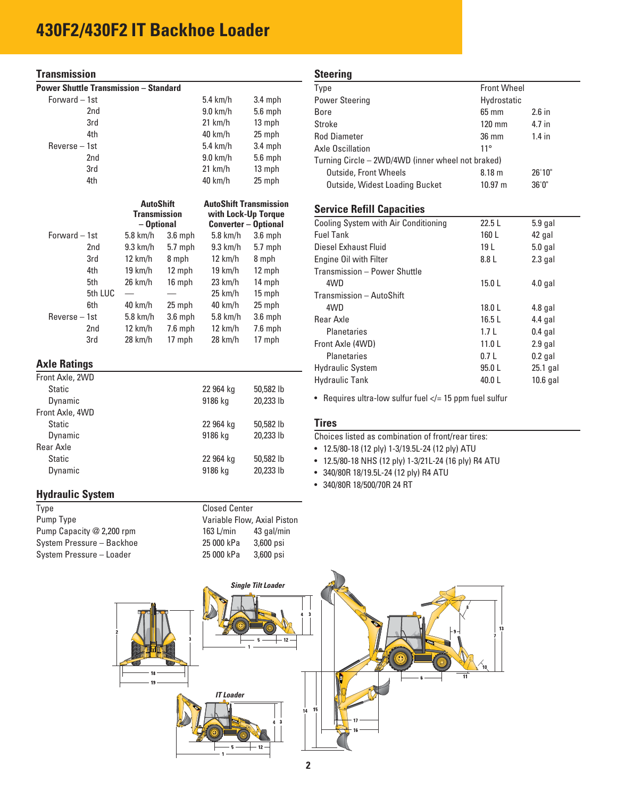#### **Transmission**

| <b>Power Shuttle Transmission - Standard</b> |         |                                   |           |                                                    |           |
|----------------------------------------------|---------|-----------------------------------|-----------|----------------------------------------------------|-----------|
| Forward - 1st                                |         |                                   |           | $5.4$ km/h                                         | $3.4$ mph |
|                                              | 2nd     |                                   |           | $9.0$ km/h                                         | 5.6 mph   |
|                                              | 3rd     |                                   |           | $21$ km/h                                          | 13 mph    |
|                                              | 4th     |                                   |           | 40 km/h                                            | 25 mph    |
| Reverse - 1st                                |         |                                   |           | $5.4$ km/h                                         | 3.4 mph   |
|                                              | 2nd     |                                   |           | $9.0$ km/h                                         | 5.6 mph   |
|                                              | 3rd     |                                   |           | $21$ km/h                                          | 13 mph    |
|                                              | 4th     |                                   |           | 40 km/h                                            | 25 mph    |
|                                              |         | <b>AutoShift</b>                  |           | <b>AutoShift Transmission</b>                      |           |
|                                              |         | <b>Transmission</b><br>- Optional |           | with Lock-Up Torque<br><b>Converter - Optional</b> |           |
| Forward - 1st                                |         | 5.8 km/h                          | $3.6$ mph | $5.8$ km/h                                         | $3.6$ mph |
|                                              | 2nd     | $9.3$ km/h                        | $5.7$ mph | $9.3$ km/h                                         | 5.7 mph   |
|                                              | 3rd     | 12 km/h                           | 8 mph     | $12 \text{ km/h}$                                  | 8 mph     |
|                                              | 4th     | $19 \text{ km/h}$                 | 12 mph    | $19 \text{ km/h}$                                  | 12 mph    |
|                                              | 5th     | 26 km/h                           | 16 mph    | 23 km/h                                            | 14 mph    |
|                                              | 5th LUC |                                   |           | $25 \text{ km/h}$                                  | 15 mph    |
|                                              | 6th     | 40 km/h                           | 25 mph    | 40 km/h                                            | 25 mph    |
| $Reverse - 1st$                              |         | $5.8$ km/h                        | $3.6$ mph | $5.8$ km/h                                         | $3.6$ mph |
|                                              | 2nd     | $12 \text{ km/h}$                 | $7.6$ mph | $12 \text{ km/h}$                                  | $7.6$ mph |
|                                              | 3rd     | 28 km/h                           | 17 mph    | 28 km/h                                            | 17 mph    |
| <b>Axle Ratings</b>                          |         |                                   |           |                                                    |           |
| Front Axle, 2WD                              |         |                                   |           |                                                    |           |
|                                              |         |                                   |           |                                                    |           |

| Front Axle, 2WD |           |           |
|-----------------|-----------|-----------|
| Static          | 22 964 kg | 50,582 lb |
| Dynamic         | 9186 kg   | 20,233 lb |
| Front Axle, 4WD |           |           |
| Static          | 22 964 kg | 50,582 lb |
| Dynamic         | 9186 kg   | 20,233 lb |
| Rear Axle       |           |           |
| Static          | 22 964 kg | 50,582 lb |
| Dynamic         | 9186 kg   | 20,233 lb |
|                 |           |           |

#### **Hydraulic System**

| Type                      | <b>Closed Center</b>        |            |
|---------------------------|-----------------------------|------------|
| Pump Type                 | Variable Flow, Axial Piston |            |
| Pump Capacity @ 2,200 rpm | 163 L/min                   | 43 gal/min |
| System Pressure - Backhoe | 25 000 kPa                  | 3,600 psi  |
| System Pressure - Loader  | 25 000 kPa                  | 3,600 psi  |

#### **Steering**

| olggilliy                                         |                    |          |  |
|---------------------------------------------------|--------------------|----------|--|
| Type                                              | <b>Front Wheel</b> |          |  |
| <b>Power Steering</b>                             | Hydrostatic        |          |  |
| Bore                                              | $65 \text{ mm}$    | $2.6$ in |  |
| Stroke                                            | $120$ mm           | 4.7 in   |  |
| <b>Rod Diameter</b>                               | $36 \text{ mm}$    | $1.4$ in |  |
| Axle Oscillation                                  | $11^{\circ}$       |          |  |
| Turning Circle - 2WD/4WD (inner wheel not braked) |                    |          |  |
| <b>Outside, Front Wheels</b>                      | 8.18 <sub>m</sub>  | 26'10"   |  |
| Outside, Widest Loading Bucket                    | $10.97 \text{ m}$  | 36'0''   |  |

#### **Service Refill Capacities**

| Cooling System with Air Conditioning | 22.5L             | $5.9$ gal  |  |
|--------------------------------------|-------------------|------------|--|
| <b>Fuel Tank</b>                     | 160 L             | 42 gal     |  |
| Diesel Exhaust Fluid                 | 19 L              | $5.0$ gal  |  |
| Engine Oil with Filter               | 8.8 L             | $2.3$ gal  |  |
| Transmission - Power Shuttle         |                   |            |  |
| 4WD                                  | 15.0L             | $4.0$ gal  |  |
| Transmission - AutoShift             |                   |            |  |
| 4WD                                  | 18.0L             | $4.8$ gal  |  |
| Rear Axle                            | 16.5L             | $4.4$ gal  |  |
| <b>Planetaries</b>                   | 1.7 <sub>L</sub>  | $0.4$ gal  |  |
| Front Axle (4WD)                     | 11.0 <sub>L</sub> | $2.9$ gal  |  |
| <b>Planetaries</b>                   | 0.7L              | $0.2$ gal  |  |
| <b>Hydraulic System</b>              | 95.0 L            | $25.1$ gal |  |
| <b>Hydraulic Tank</b>                | 40.0L             | $10.6$ gal |  |
|                                      |                   |            |  |

• Requires ultra-low sulfur fuel  $\lt$  = 15 ppm fuel sulfur

#### **Tires**

Choices listed as combination of front/rear tires:

• 12.5/80-18 (12 ply) 1-3/19.5L-24 (12 ply) ATU

- 12.5/80-18 NHS (12 ply) 1-3/21L-24 (16 ply) R4 ATU
- 340/80R 18/19.5L-24 (12 ply) R4 ATU
- 340/80R 18/500/70R 24 RT

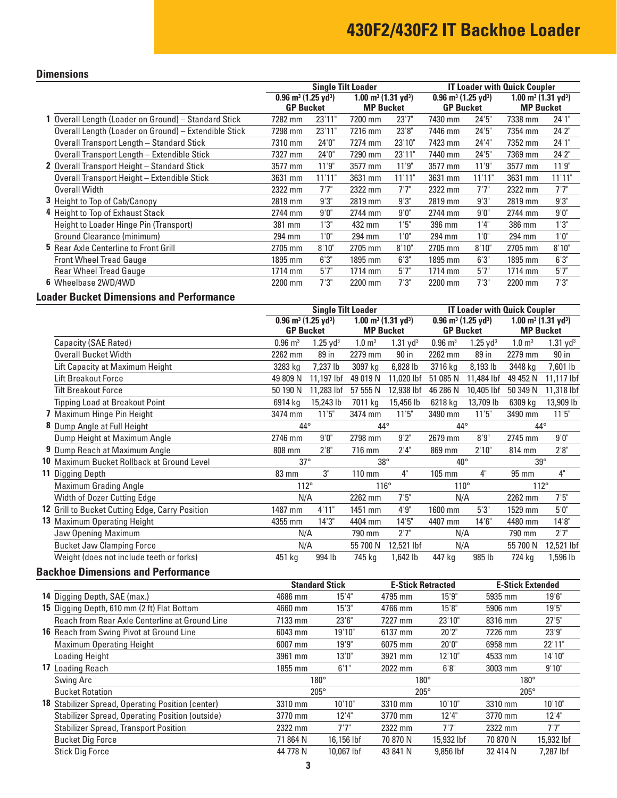### **Dimensions**

|                                                      |                                               |        | <b>Single Tilt Loader</b>                  |        |                                               |        | <b>IT Loader with Quick Coupler</b>        |        |
|------------------------------------------------------|-----------------------------------------------|--------|--------------------------------------------|--------|-----------------------------------------------|--------|--------------------------------------------|--------|
|                                                      | $0.96$ m <sup>3</sup> (1.25 yd <sup>3</sup> ) |        | $1.00 \text{ m}^3$ (1.31 yd <sup>3</sup> ) |        | $0.96$ m <sup>3</sup> (1.25 yd <sup>3</sup> ) |        | $1.00 \text{ m}^3$ (1.31 yd <sup>3</sup> ) |        |
|                                                      | <b>GP Bucket</b>                              |        | <b>MP Bucket</b>                           |        | <b>GP Bucket</b>                              |        | <b>MP Bucket</b>                           |        |
| 1 Overall Length (Loader on Ground) - Standard Stick | 7282 mm                                       | 23'11" | 7200 mm                                    | 23'7'' | 7430 mm                                       | 24'5'' | 7338 mm                                    | 24'1'' |
| Overall Length (Loader on Ground) - Extendible Stick | 7298 mm                                       | 23'11" | 7216 mm                                    | 23'8"  | 7446 mm                                       | 24'5'' | 7354 mm                                    | 24'2'' |
| Overall Transport Length - Standard Stick            | 7310 mm                                       | 24'0'' | 7274 mm                                    | 23'10" | 7423 mm                                       | 24'4"  | 7352 mm                                    | 24'1"  |
| Overall Transport Length - Extendible Stick          | 7327 mm                                       | 24'0'' | 7290 mm                                    | 23'11" | 7440 mm                                       | 24'5'' | 7369 mm                                    | 24'2"  |
| 2 Overall Transport Height - Standard Stick          | 3577 mm                                       | 11'9"  | 3577 mm                                    | 11'9'' | 3577 mm                                       | 11'9"  | 3577 mm                                    | 11'9'' |
| Overall Transport Height - Extendible Stick          | 3631 mm                                       | 11'11" | 3631 mm                                    | 11'11" | 3631 mm                                       | 11'11" | 3631 mm                                    | 11'11" |
| Overall Width                                        | 2322 mm                                       | 7'7''  | 2322 mm                                    | 7'7''  | 2322 mm                                       | 7'7"   | 2322 mm                                    | 7'7"   |
| <b>3</b> Height to Top of Cab/Canopy                 | 2819 mm                                       | 9'3''  | 2819 mm                                    | 9'3''  | 2819 mm                                       | 9'3"   | 2819 mm                                    | 9'3''  |
| 4 Height to Top of Exhaust Stack                     | 2744 mm                                       | 9'0''  | 2744 mm                                    | 9'0''  | 2744 mm                                       | 9'0''  | 2744 mm                                    | 9'0''  |
| Height to Loader Hinge Pin (Transport)               | 381 mm                                        | 1'3''  | 432 mm                                     | 1'5"   | 396 mm                                        | 1'4"   | 386 mm                                     | 1'3''  |
| Ground Clearance (minimum)                           | 294 mm                                        | 1'0''  | 294 mm                                     | 1'0''  | 294 mm                                        | 1'0''  | 294 mm                                     | 1'0''  |
| 5 Rear Axle Centerline to Front Grill                | 2705 mm                                       | 8'10"  | 2705 mm                                    | 8'10"  | 2705 mm                                       | 8'10"  | 2705 mm                                    | 8'10"  |
| <b>Front Wheel Tread Gauge</b>                       | 1895 mm                                       | 6'3''  | 1895 mm                                    | 6'3''  | 1895 mm                                       | 6'3''  | 1895 mm                                    | 6'3''  |
| <b>Rear Wheel Tread Gauge</b>                        | 1714 mm                                       | 5'7''  | 1714 mm                                    | 5'7''  | 1714 mm                                       | 5'7''  | $1714$ mm                                  | 5'7''  |
| 6 Wheelbase 2WD/4WD                                  | 2200 mm                                       | 7'3''  | 2200 mm                                    | 7'3''  | 2200 mm                                       | 7'3''  | 2200 mm                                    | 7'3''  |
|                                                      |                                               |        |                                            |        |                                               |        |                                            |        |

### **Loader Bucket Dimensions and Performance**

|                                                 |                                            | <b>Single Tilt Loader</b> |                                            |                        |                                               | <b>IT Loader with Quick Coupler</b> |                                            |                        |
|-------------------------------------------------|--------------------------------------------|---------------------------|--------------------------------------------|------------------------|-----------------------------------------------|-------------------------------------|--------------------------------------------|------------------------|
|                                                 | $0.96 \text{ m}^3$ (1.25 yd <sup>3</sup> ) |                           | $1.00 \text{ m}^3$ (1.31 yd <sup>3</sup> ) |                        | $0.96$ m <sup>3</sup> (1.25 yd <sup>3</sup> ) |                                     | $1.00 \text{ m}^3$ (1.31 yd <sup>3</sup> ) |                        |
|                                                 | <b>GP Bucket</b>                           |                           | <b>MP Bucket</b>                           |                        | <b>GP Bucket</b>                              |                                     | <b>MP Bucket</b>                           |                        |
| Capacity (SAE Rated)                            | $0.96 \; \mathrm{m}^3$                     | $1.25 \text{ yd}^3$       | $1.0 \; \mathrm{m}^3$                      | $1.31$ yd <sup>3</sup> | $0.96 \text{ m}^3$                            | $1.25 \text{ yd}^3$                 | $1.0 \text{ m}^3$                          | $1.31$ yd <sup>3</sup> |
| Overall Bucket Width                            | 2262 mm                                    | 89 in                     | 2279 mm                                    | 90 in                  | 2262 mm                                       | 89 in                               | 2279 mm                                    | 90 in                  |
| Lift Capacity at Maximum Height                 | 3283 kg                                    | 7,237 lb                  | 3097 kg                                    | 6,828 lb               | 3716 kg                                       | 8,193 lb                            | 3448 kg                                    | 7,601 lb               |
| Lift Breakout Force                             | 49 809 N                                   | 11,197 lbf                | 49 019 N                                   | 11,020 lbf             | 51 085 N                                      | 11,484 lbf                          | 49 452 N                                   | 11,117 lbf             |
| <b>Tilt Breakout Force</b>                      | 50 190 N                                   | 11,283 lbf                | 57 555 N                                   | 12,938 lbf             | 46 286 N                                      | 10,405 lbf                          | 50 349 N                                   | 11,318 lbf             |
| <b>Tipping Load at Breakout Point</b>           | 6914 kg                                    | 15,243 lb                 | 7011 kg                                    | 15,456 lb              | 6218 kg                                       | 13,709 lb                           | 6309 kg                                    | 13,909 lb              |
| 7 Maximum Hinge Pin Height                      | 3474 mm                                    | 11'5"                     | 3474 mm                                    | 11'5"                  | 3490 mm                                       | 11'5"                               | 3490 mm                                    | 11'5''                 |
| 8 Dump Angle at Full Height                     | 44°                                        |                           | 44°                                        |                        | $44^{\circ}$                                  |                                     | $44^{\circ}$                               |                        |
| Dump Height at Maximum Angle                    | 2746 mm                                    | 9'0''                     | 2798 mm                                    | 9'2''                  | 2679 mm                                       | 8'9''                               | 2745 mm                                    | 9'0''                  |
| 9 Dump Reach at Maximum Angle                   | 808 mm                                     | 2'8''                     | 716 mm                                     | 2'4''                  | 869 mm                                        | 2'10"                               | 814 mm                                     | 2'8''                  |
| 10 Maximum Bucket Rollback at Ground Level      | $37^\circ$                                 |                           | $38^\circ$                                 |                        | $40^{\circ}$                                  |                                     | $39^\circ$                                 |                        |
| <b>11 Digging Depth</b>                         | 83 mm                                      | 3"                        | $110 \text{ mm}$                           | 4"                     | 105 mm                                        | 4"                                  | 95 mm                                      | 4"                     |
| Maximum Grading Angle                           | $112^\circ$                                |                           | $116^\circ$                                |                        | $110^{\circ}$                                 |                                     | $112^\circ$                                |                        |
| Width of Dozer Cutting Edge                     | N/A                                        |                           | 2262 mm                                    | 7'5''                  | N/A                                           |                                     | 2262 mm                                    | 7'5''                  |
| 12 Grill to Bucket Cutting Edge, Carry Position | 1487 mm                                    | 4'11"                     | 1451 mm                                    | 4'9''                  | 1600 mm                                       | 5'3''                               | 1529 mm                                    | 5'0''                  |
| 13 Maximum Operating Height                     | 4355 mm                                    | 14'3''                    | 4404 mm                                    | 14'5''                 | 4407 mm                                       | 14'6''                              | 4480 mm                                    | 14'8''                 |
| Jaw Opening Maximum                             | N/A                                        |                           | 790 mm                                     | 2'7''                  | N/A                                           |                                     | 790 mm                                     | 2'7"                   |
| <b>Bucket Jaw Clamping Force</b>                | N/A                                        |                           | 55 700 N                                   | 12,521 lbf             | N/A                                           |                                     | 55 700 N                                   | 12,521 lbf             |
| Weight (does not include teeth or forks)        | 451 kg                                     | 994 lb                    | 745 kg                                     | 1,642 lb               | 447 kg                                        | 985 lb                              | 724 kg                                     | 1,596 lb               |
|                                                 |                                            |                           |                                            |                        |                                               |                                     |                                            |                        |

#### **Backhoe Dimensions and Performance**

|                                                        | <b>Standard Stick</b> |            | <b>E-Stick Retracted</b> |            | <b>E-Stick Extended</b> |            |
|--------------------------------------------------------|-----------------------|------------|--------------------------|------------|-------------------------|------------|
| 14 Digging Depth, SAE (max.)                           | 4686 mm               | 15'4"      | 4795 mm                  | 15'9''     | 5935 mm                 | 19'6''     |
| 15 Digging Depth, 610 mm (2 ft) Flat Bottom            | 4660 mm               | 15'3''     | 4766 mm                  | 15'8''     | 5906 mm                 | 19'5"      |
| Reach from Rear Axle Centerline at Ground Line         | 7133 mm               | 23'6''     | 7227 mm                  | 23'10"     | 8316 mm                 | 27'5''     |
| <b>16</b> Reach from Swing Pivot at Ground Line        | 6043 mm               | 19'10"     | 6137 mm                  | 20'2"      | 7226 mm                 | 23'9"      |
| <b>Maximum Operating Height</b>                        | 6007 mm               | 19'9''     | 6075 mm                  | 20'0''     | 6958 mm                 | 22'11"     |
| Loading Height                                         | 3961 mm               | 13'0''     | 3921 mm                  | 12'10"     | 4533 mm                 | 14'10"     |
| 17 Loading Reach                                       | 1855 mm               | 6'1''      | 2022 mm                  | 6'8''      | 3003 mm                 | 9'10"      |
| Swing Arc                                              | $180^\circ$           |            | $180^\circ$              |            | $180^\circ$             |            |
| <b>Bucket Rotation</b>                                 | $205^\circ$           |            | $205^\circ$              |            | $205^\circ$             |            |
| 18 Stabilizer Spread, Operating Position (center)      | 3310 mm               | 10'10"     | 3310 mm                  | 10'10"     | 3310 mm                 | 10'10"     |
| <b>Stabilizer Spread, Operating Position (outside)</b> | 3770 mm               | 12'4"      | 3770 mm                  | 12'4"      | 3770 mm                 | 12'4''     |
| <b>Stabilizer Spread, Transport Position</b>           | 2322 mm               | 7'7"       | 2322 mm                  | 7'7"       | 2322 mm                 | 7'7"       |
| <b>Bucket Dig Force</b>                                | 71 864 N              | 16,156 lbf | 70 870 N                 | 15,932 lbf | 70 870 N                | 15,932 lbf |
| <b>Stick Dig Force</b>                                 | 44 778 N              | 10.067 lbf | 43 841 N                 | 9.856 lbf  | 32 414 N                | 7.287 lbf  |
|                                                        |                       |            |                          |            |                         |            |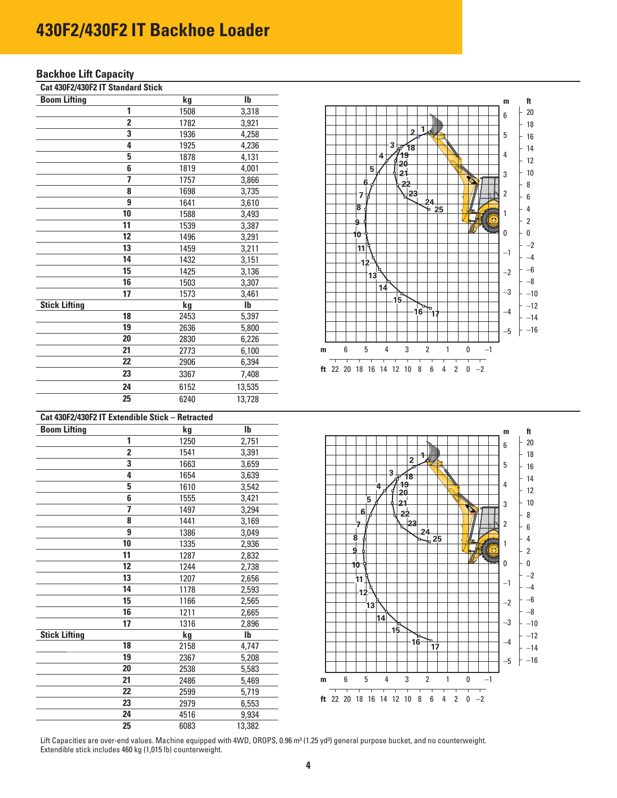#### **Backhoe Lift Capacity**

| Cat 430F2/430F2 IT Standard Stick |  |  |
|-----------------------------------|--|--|
|                                   |  |  |

| <b>Boom Lifting</b>  |                | kg   | $\overline{\mathsf{lb}}$ |
|----------------------|----------------|------|--------------------------|
|                      | 1              | 1508 | 3,318                    |
|                      | $\overline{2}$ | 1782 | 3,921                    |
|                      | 3              | 1936 | 4,258                    |
|                      | 4              | 1925 | 4,236                    |
|                      | 5              | 1878 | 4,131                    |
|                      | 6              | 1819 | 4,001                    |
|                      | 7              | 1757 | 3,866                    |
|                      | 8              | 1698 | 3,735                    |
|                      | 9              | 1641 | 3,610                    |
|                      | 10             | 1588 | 3,493                    |
|                      | 11             | 1539 | 3,387                    |
|                      | 12             | 1496 | 3,291                    |
|                      | 13             | 1459 | 3,211                    |
|                      | 14             | 1432 | 3,151                    |
|                      | 15             | 1425 | 3,136                    |
|                      | 16             | 1503 | 3,307                    |
|                      | 17             | 1573 | 3,461                    |
| <b>Stick Lifting</b> |                | kg   | $\mathbf{I}$             |
|                      | 18             | 2453 | 5,397                    |
|                      | 19             | 2636 | 5,800                    |
|                      | 20             | 2830 | 6,226                    |
|                      | 21             | 2773 | 6,100                    |
|                      | 22             | 2906 | 6,394                    |
|                      | 23             | 3367 | 7,408                    |
|                      | 24             | 6152 | 13,535                   |
|                      | 25             | 6240 | 13,728                   |

|                                                                                                                              | m       | ft             |
|------------------------------------------------------------------------------------------------------------------------------|---------|----------------|
|                                                                                                                              | 6       | 20             |
| 1<br>$\overline{2}$                                                                                                          |         | 18             |
| kJ.                                                                                                                          | 5       | 16             |
| $3\sqrt{18}$<br>19                                                                                                           | 4       | 14             |
| 4<br>ò<br>20                                                                                                                 |         | 12             |
| 5<br>21                                                                                                                      | 3       | 10             |
| S<br>6<br>22                                                                                                                 |         | 8              |
| 23<br>7<br>13                                                                                                                | 2       | 6              |
| 24<br>P<br>8<br>25                                                                                                           | 1       | 4              |
| 9                                                                                                                            | $\odot$ | $\overline{2}$ |
| 10                                                                                                                           | 0       | 0              |
| 11                                                                                                                           |         | $-2$           |
| 12                                                                                                                           | $-1$    | -4             |
|                                                                                                                              | $^{-2}$ | -6             |
| 13                                                                                                                           |         | -8             |
| 14                                                                                                                           | -3      | $-10$          |
| 15<br>p,<br>o                                                                                                                |         | $-12$          |
| 16<br>17                                                                                                                     | -4      | -14            |
|                                                                                                                              | -5      | -16            |
|                                                                                                                              |         |                |
| $\overline{2}$<br>1<br>$-1$<br>6<br>5<br>4<br>3<br>0<br>m                                                                    |         |                |
| т<br>т<br>т<br>Т<br>т<br>т<br>т<br>ft $22$<br>8<br>6<br>$\overline{2}$<br>$-2$<br>20<br>18<br>16<br>14<br>12<br>10<br>4<br>0 |         |                |

| Cat 430F2/430F2 IT Extendible Stick - Retracted |      |              |
|-------------------------------------------------|------|--------------|
| <b>Boom Lifting</b>                             | kg   | $\mathbf{I}$ |
| 1                                               | 1250 | 2,751        |
| $\overline{2}$                                  | 1541 | 3,391        |
| 3                                               | 1663 | 3,659        |
| 4                                               | 1654 | 3,639        |
| 5                                               | 1610 | 3,542        |
| 6                                               | 1555 | 3,421        |
| 7                                               | 1497 | 3,294        |
| 8                                               | 1441 | 3,169        |
| 9                                               | 1386 | 3,049        |
| 10                                              | 1335 | 2,936        |
| 11                                              | 1287 | 2,832        |
| 12                                              | 1244 | 2,738        |
| 13                                              | 1207 | 2,656        |
| 14                                              | 1178 | 2,593        |
| $\overline{15}$                                 | 1166 | 2,565        |
| 16                                              | 1211 | 2,665        |
| 17                                              | 1316 | 2,896        |
| <b>Stick Lifting</b>                            | kg   | $\mathbf{I}$ |
| 18                                              | 2158 | 4,747        |
| 19                                              | 2367 | 5,208        |
| 20                                              | 2538 | 5,583        |
| 21                                              | 2486 | 5,469        |
| 22                                              | 2599 | 5,719        |
| $\overline{23}$                                 | 2979 | 6,553        |
| 24                                              | 4516 | 9,934        |
| 25                                              | 6083 | 13,382       |



Lift Capacities are over-end values. Machine equipped with 4WD, OROPS, 0.96 m<sup>3</sup> (1.25 yd<sup>3</sup>) general purpose bucket, and no counterweight. Extendible stick includes 460 kg (1,015 lb) counterweight.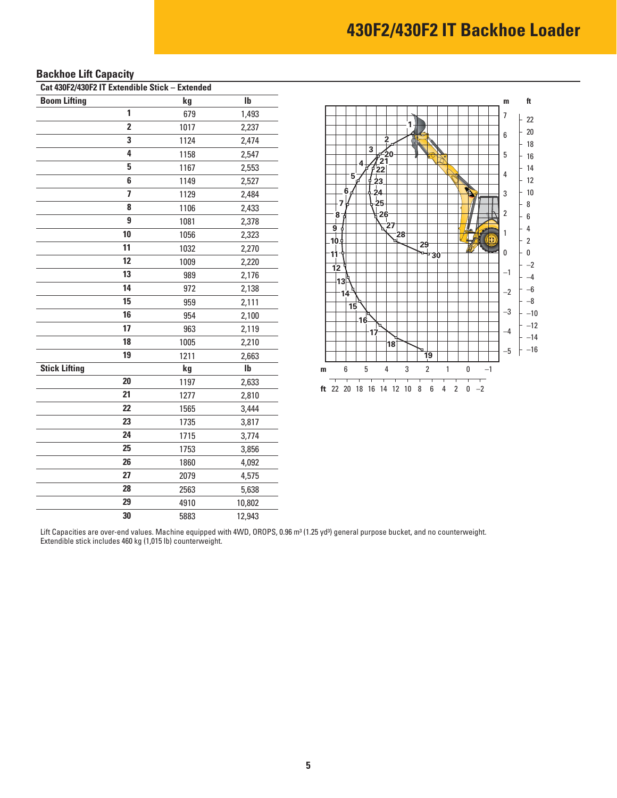### **Backhoe Lift Capacity**

| Cat 430F2/430F2 IT Extendible Stick - Extended |      |              |  |  |  |  |  |  |  |
|------------------------------------------------|------|--------------|--|--|--|--|--|--|--|
| <b>Boom Lifting</b>                            | kg   | Ib           |  |  |  |  |  |  |  |
| 1                                              | 679  | 1,493        |  |  |  |  |  |  |  |
| $\overline{2}$                                 | 1017 | 2,237        |  |  |  |  |  |  |  |
| 3                                              | 1124 | 2,474        |  |  |  |  |  |  |  |
| 4                                              | 1158 | 2,547        |  |  |  |  |  |  |  |
| 5                                              | 1167 | 2,553        |  |  |  |  |  |  |  |
| 6                                              | 1149 | 2,527        |  |  |  |  |  |  |  |
| $\overline{\mathbf{z}}$                        | 1129 | 2,484        |  |  |  |  |  |  |  |
| 8                                              | 1106 | 2,433        |  |  |  |  |  |  |  |
| 9                                              | 1081 | 2,378        |  |  |  |  |  |  |  |
| 10                                             | 1056 | 2,323        |  |  |  |  |  |  |  |
| 11                                             | 1032 | 2,270        |  |  |  |  |  |  |  |
| 12                                             | 1009 | 2,220        |  |  |  |  |  |  |  |
| 13                                             | 989  | 2,176        |  |  |  |  |  |  |  |
| 14                                             | 972  | 2,138        |  |  |  |  |  |  |  |
| 15                                             | 959  | 2,111        |  |  |  |  |  |  |  |
| 16                                             | 954  | 2,100        |  |  |  |  |  |  |  |
| 17                                             | 963  | 2,119        |  |  |  |  |  |  |  |
| 18                                             | 1005 | 2,210        |  |  |  |  |  |  |  |
| 19                                             | 1211 | 2,663        |  |  |  |  |  |  |  |
| <b>Stick Lifting</b>                           | kg   | $\mathbf{I}$ |  |  |  |  |  |  |  |
| 20                                             | 1197 | 2,633        |  |  |  |  |  |  |  |
| 21                                             | 1277 | 2,810        |  |  |  |  |  |  |  |
| 22                                             | 1565 | 3,444        |  |  |  |  |  |  |  |
| 23                                             | 1735 | 3,817        |  |  |  |  |  |  |  |
| 24                                             | 1715 | 3,774        |  |  |  |  |  |  |  |
| 25                                             | 1753 | 3,856        |  |  |  |  |  |  |  |
| 26                                             | 1860 | 4,092        |  |  |  |  |  |  |  |
| 27                                             | 2079 | 4,575        |  |  |  |  |  |  |  |
| 28                                             | 2563 | 5,638        |  |  |  |  |  |  |  |
| 29                                             | 4910 | 10,802       |  |  |  |  |  |  |  |
| 30                                             | 5883 | 12,943       |  |  |  |  |  |  |  |



Lift Capacities are over-end values. Machine equipped with 4WD, OROPS, 0.96 m<sup>3</sup> (1.25 yd<sup>3</sup>) general purpose bucket, and no counterweight. Extendible stick includes 460 kg (1,015 lb) counterweight.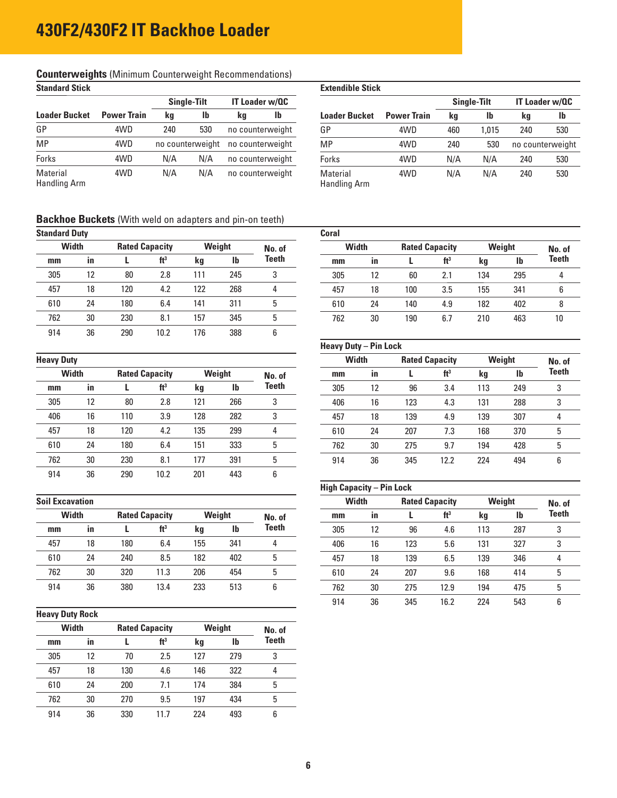#### **Counterweights** (Minimum Counterweight Recommendations) **Standard Stick** Extendible Stick

| olallualu oliun          |                    |                  |                    |          |                       | LALGIIUIDIG JUUN                |                    |     |                    |                       |     |
|--------------------------|--------------------|------------------|--------------------|----------|-----------------------|---------------------------------|--------------------|-----|--------------------|-----------------------|-----|
|                          |                    |                  | <b>Single-Tilt</b> |          | <b>IT Loader w/QC</b> |                                 |                    |     | <b>Single-Tilt</b> | <b>IT Loader w/Q0</b> |     |
| <b>Loader Bucket</b>     | <b>Power Train</b> | kg               | <b>Ib</b>          | lb<br>kg |                       | <b>Loader Bucket</b>            | <b>Power Train</b> | kg  | lb                 | kg                    | lb  |
| GP                       | 4WD                | 240              | 530                |          | no counterweight      | GP                              | 4WD                | 460 | .015               | 240                   | 530 |
| <b>MP</b>                | 4WD                | no counterweight |                    |          | no counterweight      | <b>MP</b>                       | 4WD                | 240 | 530                | no counterweig        |     |
| Forks                    | 4WD                | N/A              | N/A                |          | no counterweight      | Forks                           | 4WD                | N/A | N/A                | 240                   | 530 |
| Material<br>Handling Arm | 4WD                | N/A              | N/A                |          | no counterweight      | Material<br><b>Handling Arm</b> | 4WD                | N/A | N/A                | 240                   | 530 |

| Əlanuaru Əlick           |                    |                    |           |                       |    | <b>EXIGHQIDIG SUCK</b>          |                    |     |                    |                       |                  |  |  |  |
|--------------------------|--------------------|--------------------|-----------|-----------------------|----|---------------------------------|--------------------|-----|--------------------|-----------------------|------------------|--|--|--|
|                          |                    | <b>Single-Tilt</b> |           | <b>IT Loader w/QC</b> |    |                                 |                    |     | <b>Single-Tilt</b> | <b>IT Loader w/QC</b> |                  |  |  |  |
| <b>Loader Bucket</b>     | <b>Power Train</b> | kg                 | <b>lb</b> | kg                    | lb | <b>Loader Bucket</b>            | <b>Power Train</b> | kg  | <b>lb</b>          | kg                    | lb               |  |  |  |
| GP                       | 4WD                | 240                | 530       | no counterweight      |    | GP                              | 4WD                | 460 | 1.015              | 240                   | 530              |  |  |  |
| MР                       | 4WD                | no counterweight   |           | no counterweight      |    | MP                              | 4WD                | 240 | 530                |                       | no counterweight |  |  |  |
| Forks                    | 4WD                | N/A                | N/A       | no counterweight      |    | Forks                           | 4WD                | N/A | N/A                | 240                   | 530              |  |  |  |
| Material<br>Handling Arm | 4WD                | N/A                | N/A       | no counterweight      |    | Material<br><b>Handling Arm</b> | 4WD                | N/A | N/A                | 240                   | 530              |  |  |  |

#### **Backhoe Buckets** (With weld on adapters and pin-on teeth)

| <b>Standard Duty</b> |  |
|----------------------|--|
|----------------------|--|

| <b>Standard Duty</b> |              |     |                       |     |        |        | Coral |              |                                 |                 |     |              |      |
|----------------------|--------------|-----|-----------------------|-----|--------|--------|-------|--------------|---------------------------------|-----------------|-----|--------------|------|
|                      | <b>Width</b> |     | <b>Rated Capacity</b> |     | Weight | No. of |       | <b>Width</b> | Weight<br><b>Rated Capacity</b> |                 |     | No.          |      |
| mm                   | <b>in</b>    |     | ft <sup>3</sup>       | kg  | Ib     | Teeth  | mm    | <b>in</b>    |                                 | ft <sup>3</sup> | kg  | $\mathbf{I}$ | Teet |
| 305                  | 12           | 80  | 2.8                   | 111 | 245    | c      | 305   | 12           | 60                              | 2.1             | 134 | 295          | 4    |
| 457                  | 18           | 120 | 4.2                   | 122 | 268    | 4      | 457   | 18           | 100                             | 3.5             | 155 | 341          | 6    |
| 610                  | 24           | 180 | 6.4                   | 141 | 311    | 5      | 610   | 24           | 140                             | 4.9             | 182 | 402          | 8    |
| 762                  | 30           | 230 | 8.1                   | 157 | 345    | 5      | 762   | 30           | 190                             | 6.7             | 210 | 463          | 10   |
| 914                  | 36           | 290 | 10.2                  | 176 | 388    | 6      |       |              |                                 |                 |     |              |      |
|                      |              |     |                       |     |        |        |       |              |                                 |                 |     |              |      |

|     | -            |     |                       |     |              |        |     |    |     |                 |     |     |     |
|-----|--------------|-----|-----------------------|-----|--------------|--------|-----|----|-----|-----------------|-----|-----|-----|
|     | <b>Width</b> |     | <b>Rated Capacity</b> |     | Weight       | No. of | mm  | in |     | ft <sup>3</sup> | kg  | lb  | Tee |
| mm  | <b>in</b>    |     | ft <sup>3</sup>       | kg  | $\mathbf{I}$ | Teeth  | 305 | 12 | 96  | 3.4             | 113 | 249 | 3   |
| 305 | 12           | 80  | 2.8                   | 121 | 266          | 3      | 406 | 16 | 123 | 4.3             | 131 | 288 | 3   |
| 406 | 16           | 110 | 3.9                   | 128 | 282          | 3      | 457 | 18 | 139 | 4.9             | 139 | 307 | 4   |
| 457 | 18           | 120 | 4.2                   | 135 | 299          | 4      | 610 | 24 | 207 | 7.3             | 168 | 370 | 5   |
| 610 | 24           | 180 | 6.4                   | 151 | 333          | 5      | 762 | 30 | 275 | 9.7             | 194 | 428 | 5   |
| 762 | 30           | 230 | 8.1                   | 177 | 391          | 5      | 914 | 36 | 345 | 12.2            | 224 | 494 | 6   |
| 914 | 36           | 290 | 10.2                  | 201 | 443          | 6      |     |    |     |                 |     |     |     |
|     |              |     |                       |     |              |        |     |    |     |                 |     |     |     |

|     |              |           |                       |                 |     |              |        |      |    |     |                 |     |     | ----    |
|-----|--------------|-----------|-----------------------|-----------------|-----|--------------|--------|------|----|-----|-----------------|-----|-----|---------|
|     | <b>Width</b> |           | <b>Rated Capacity</b> |                 |     | Weight       | No. of | $mm$ | in |     | ft <sup>3</sup> | kg  | lb  | Tee     |
| mm  |              | <b>in</b> |                       | ft <sup>3</sup> | kg  | $\mathbf{I}$ | Teeth  | 305  | 12 | 96  | 4.6             | 113 | 287 | ົ<br>ັບ |
| 457 |              | 18        | 180                   | 6.4             | 155 | 341          |        | 406  | 16 | 123 | 5.6             | 131 | 327 | ີ       |
| 610 |              | 24        | 240                   | 8.5             | 182 | 402          | b      | 457  | 18 | 139 | 6.5             | 139 | 346 | 4       |
| 762 |              | 30        | 320                   | 11.3            | 206 | 454          | h      | 610  | 24 | 207 | 9.6             | 168 | 414 |         |
| 914 |              | 36        | 380                   | 13.4            | 233 | 513          |        | 762  | 30 | 275 | 12.9            | 194 | 475 | ხ       |
|     |              |           |                       |                 |     |              |        |      |    |     |                 |     |     |         |

#### **Heavy Duty Rock**

| <b>Width</b> |    | <b>Rated Capacity</b> |                 |     | Weight | No. of       |  |  |
|--------------|----|-----------------------|-----------------|-----|--------|--------------|--|--|
| mm           | in |                       | ft <sup>3</sup> | kg  | Ib     | <b>Teeth</b> |  |  |
| 305          | 12 | 70                    | 2.5             | 127 | 279    | 3            |  |  |
| 457          | 18 | 130                   | 4.6             | 146 | 322    | 4            |  |  |
| 610          | 24 | 200                   | 7.1             | 174 | 384    | 5            |  |  |
| 762          | 30 | 270                   | 9.5             | 197 | 434    | 5            |  |  |
| 914          | 36 | 330                   | 11 7            | 224 | 493    | 6            |  |  |

| ndard Duty   |           |     |                                 |     |        |       | Coral                 |           |     |                        |     |              |              |        |
|--------------|-----------|-----|---------------------------------|-----|--------|-------|-----------------------|-----------|-----|------------------------|-----|--------------|--------------|--------|
| <b>Width</b> |           |     | Weight<br><b>Rated Capacity</b> |     | No. of |       | <b>Rated Capacity</b> |           |     | <b>Width</b><br>Weight |     |              |              | No. of |
| mm           | <b>in</b> |     | ft <sup>3</sup>                 | kg  | Ib     | Teeth | mm                    | <b>in</b> |     | ft <sup>3</sup>        | kg  | $\mathbf{I}$ | <b>Teeth</b> |        |
| 305          | 12        | 80  | 2.8                             | 111 | 245    |       | 305                   | 12        | 60  | 2.1                    | 134 | 295          | 4            |        |
| 457          | 18        | 120 | 4.2                             | 122 | 268    | 4     | 457                   | 18        | 100 | 3.5                    | 155 | 341          |              |        |
| 610          | 24        | 180 | 6.4                             | 141 | 311    |       | 610                   | 24        | 140 | 4.9                    | 182 | 402          |              |        |
| 762          | 30        | 230 | 8.1                             | 157 | 345    | b     | 762                   | 30        | 190 | 6.7                    | 210 | 463          | 10           |        |

#### **Heavy Duty – Pin Lock**

| <b>Heavy Duty</b> |    |                       |                 |     |        |        | <b>Width</b> |    |     | <b>Rated Capacity</b> |     | Weight | No. of |
|-------------------|----|-----------------------|-----------------|-----|--------|--------|--------------|----|-----|-----------------------|-----|--------|--------|
| <b>Width</b>      |    | <b>Rated Capacity</b> |                 |     | Weight | No. of | mm           | in |     | ft <sup>3</sup>       | kg  | Ib     | Teeth  |
| mm                | in |                       | ft <sup>3</sup> | kg  | lb     | Teeth  | 305          | 12 | 96  | 3.4                   | 113 | 249    | 3      |
| 305               | 12 | 80                    | 2.8             | 121 | 266    | 3      | 406          | 16 | 123 | 4.3                   | 131 | 288    | 3      |
| 406               | 16 | 110                   | 3.9             | 128 | 282    |        | 457          | 18 | 139 | 4.9                   | 139 | 307    |        |
| 457               | 18 | 120                   | 4.2             | 135 | 299    | 4      | 610          | 24 | 207 | 7.3                   | 168 | 370    | 5      |
| 610               | 24 | 180                   | 6.4             | 151 | 333    | 5      | 762          | 30 | 275 | 9.7                   | 194 | 428    | 5      |
| 762               | 30 | 230                   | 8.1             | 177 | 391    | 5      | 914          | 36 | 345 | 12.2                  | 224 | 494    | 6      |
|                   |    |                       |                 |     |        |        |              |    |     |                       |     |        |        |

#### **High Capacity – Pin Lock**

| <b>Soil Excavation</b> |    |                       |                 |        |     |        | <b>Width</b> |           | <b>Rated Capacity</b> |                 | Weight |           | No. of |  |
|------------------------|----|-----------------------|-----------------|--------|-----|--------|--------------|-----------|-----------------------|-----------------|--------|-----------|--------|--|
| <b>Width</b>           |    | <b>Rated Capacity</b> |                 | Weight |     | No. of | mm           | <b>in</b> |                       | ft <sup>3</sup> | kg     | <b>Ib</b> | Teeth  |  |
| mm                     | in |                       | ft <sup>3</sup> | kg     | Ib  | Teeth  | 305          | 12        | 96                    | 4.6             | 113    | 287       | 3      |  |
| 457                    | 18 | 180                   | 6.4             | 155    | 341 | 4      | 406          | 16        | 123                   | 5.6             | 131    | 327       | 3      |  |
| 610                    | 24 | 240                   | 8.5             | 182    | 402 | 5      | 457          | 18        | 139                   | 6.5             | 139    | 346       | 4      |  |
| 762                    | 30 | 320                   | 11.3            | 206    | 454 | 5      | 610          | 24        | 207                   | 9.6             | 168    | 414       | 5      |  |
| 914                    | 36 | 380                   | 13.4            | 233    | 513 | 6      | 762          | 30        | 275                   | 12.9            | 194    | 475       | 5      |  |
|                        |    |                       |                 |        |     |        | 914          | 36        | 345                   | 16.2            | 224    | 543       | 6      |  |
|                        |    |                       |                 |        |     |        |              |           |                       |                 |        |           |        |  |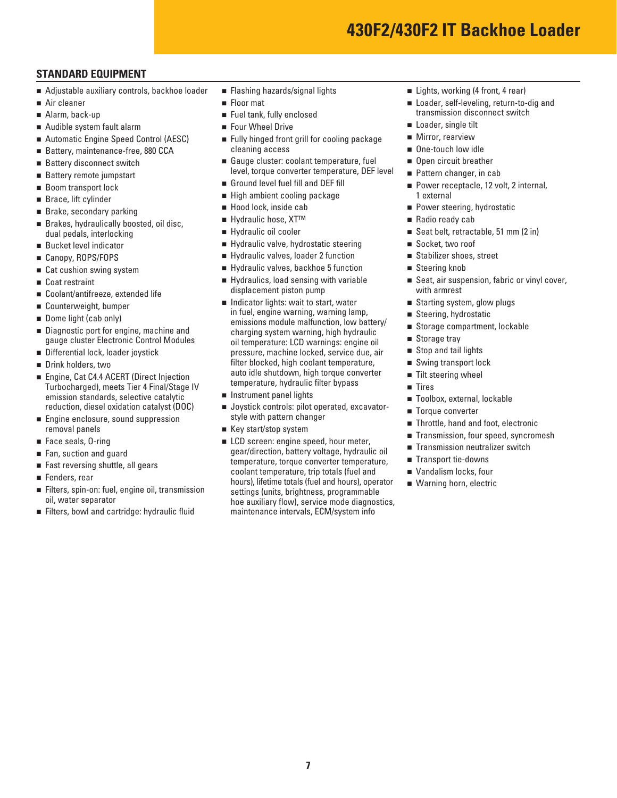#### **STANDARD EQUIPMENT**

- Adjustable auxiliary controls, backhoe loader
- Air cleaner
- Alarm, back-up
- Audible system fault alarm
- Automatic Engine Speed Control (AESC)
- Battery, maintenance-free, 880 CCA
- Battery disconnect switch
- Battery remote jumpstart
- Boom transport lock
- Brace, lift cylinder
- Brake, secondary parking
- Brakes, hydraulically boosted, oil disc. dual pedals, interlocking
- Bucket level indicator
- Canopy, ROPS/FOPS
- Cat cushion swing system
- Coat restraint
- Coolant/antifreeze, extended life
- Counterweight, bumper
- Dome light (cab only)
- Diagnostic port for engine, machine and gauge cluster Electronic Control Modules
- Differential lock, loader joystick
- Drink holders, two
- Engine, Cat C4.4 ACERT (Direct Injection Turbocharged), meets Tier 4 Final/Stage IV emission standards, selective catalytic reduction, diesel oxidation catalyst (DOC)
- **Engine enclosure, sound suppression** removal panels
- Face seals, 0-ring
- Fan, suction and guard
- Fast reversing shuttle, all gears
- Fenders, rear
- Filters, spin-on: fuel, engine oil, transmission oil, water separator
- Filters, bowl and cartridge: hydraulic fluid
- **Flashing hazards/signal lights**
- **Floor mat**
- Fuel tank, fully enclosed
- Four Wheel Drive
- **Fully hinged front grill for cooling package** cleaning access
- Gauge cluster: coolant temperature, fuel level, torque converter temperature, DEF level
- Ground level fuel fill and DEF fill
- High ambient cooling package
- Hood lock, inside cab
- Hydraulic hose, XT<sup>™</sup>
- Hydraulic oil cooler
- Hydraulic valve, hydrostatic steering
- Hydraulic valves, loader 2 function
- Hydraulic valves, backhoe 5 function
- Hydraulics, load sensing with variable displacement piston pump
- Indicator lights: wait to start, water in fuel, engine warning, warning lamp, emissions module malfunction, low battery/ charging system warning, high hydraulic oil temperature: LCD warnings: engine oil pressure, machine locked, service due, air filter blocked, high coolant temperature, auto idle shutdown, high torque converter temperature, hydraulic filter bypass
- **n** Instrument panel lights
- **Joystick controls: pilot operated, excavator**style with pattern changer
- Key start/stop system
- **LCD** screen: engine speed, hour meter, gear/direction, battery voltage, hydraulic oil temperature, torque converter temperature, coolant temperature, trip totals (fuel and hours), lifetime totals (fuel and hours), operator settings (units, brightness, programmable hoe auxiliary flow), service mode diagnostics, maintenance intervals, ECM/system info
- Lights, working (4 front, 4 rear)
- Loader, self-leveling, return-to-dig and transmission disconnect switch
- Loader, single tilt
- **Mirror, rearview**
- One-touch low idle
- Open circuit breather
- Pattern changer, in cab
- Power receptacle, 12 volt, 2 internal, 1 external
- **Power steering, hydrostatic**
- Radio ready cab
- Seat belt, retractable, 51 mm (2 in)
- Socket, two roof
- Stabilizer shoes, street
- Steering knob
- Seat, air suspension, fabric or vinyl cover, with armrest
- Starting system, glow plugs
- Steering, hydrostatic
- Storage compartment, lockable
- Storage tray
- Stop and tail lights
- Swing transport lock
- Tilt steering wheel
- Tires
- Toolbox, external, lockable
- Torque converter
- Throttle, hand and foot, electronic
- Transmission, four speed, syncromesh
- Transmission neutralizer switch
- Transport tie-downs
- Vandalism locks, four
- Warning horn, electric